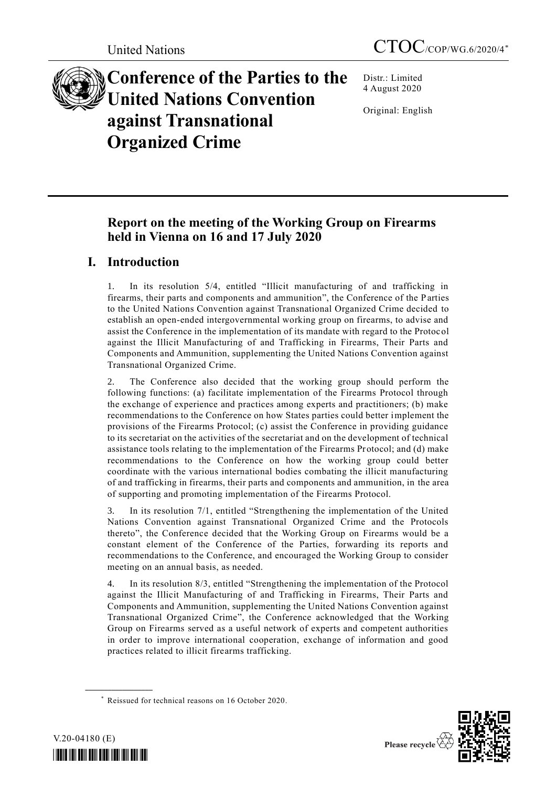

# **Conference of the Parties to the United Nations Convention against Transnational Organized Crime**

Distr.: Limited 4 August 2020

Original: English

# **Report on the meeting of the Working Group on Firearms held in Vienna on 16 and 17 July 2020**

# **I. Introduction**

1. In its resolution 5/4, entitled "Illicit manufacturing of and trafficking in firearms, their parts and components and ammunition", the Conference of the Parties to the United Nations Convention against Transnational Organized Crime decided to establish an open-ended intergovernmental working group on firearms, to advise and assist the Conference in the implementation of its mandate with regard to the Protocol against the Illicit Manufacturing of and Trafficking in Firearms, Their Parts and Components and Ammunition, supplementing the United Nations Convention against Transnational Organized Crime.

2. The Conference also decided that the working group should perform the following functions: (a) facilitate implementation of the Firearms Protocol through the exchange of experience and practices among experts and practitioners; (b) make recommendations to the Conference on how States parties could better implement the provisions of the Firearms Protocol; (c) assist the Conference in providing guidance to its secretariat on the activities of the secretariat and on the development of technical assistance tools relating to the implementation of the Firearms Protocol; and (d) make recommendations to the Conference on how the working group could better coordinate with the various international bodies combating the illicit manufacturing of and trafficking in firearms, their parts and components and ammunition, in the area of supporting and promoting implementation of the Firearms Protocol.

3. In its resolution 7/1, entitled "Strengthening the implementation of the United Nations Convention against Transnational Organized Crime and the Protocols thereto", the Conference decided that the Working Group on Firearms would be a constant element of the Conference of the Parties, forwarding its reports and recommendations to the Conference, and encouraged the Working Group to consider meeting on an annual basis, as needed.

4. In its resolution 8/3, entitled "Strengthening the implementation of the Protocol against the Illicit Manufacturing of and Trafficking in Firearms, Their Parts and Components and Ammunition, supplementing the United Nations Convention against Transnational Organized Crime", the Conference acknowledged that the Working Group on Firearms served as a useful network of experts and competent authorities in order to improve international cooperation, exchange of information and good practices related to illicit firearms trafficking.

<sup>\*</sup> Reissued for technical reasons on 16 October 2020.



**\_\_\_\_\_\_\_\_\_\_\_\_\_\_\_\_\_\_**

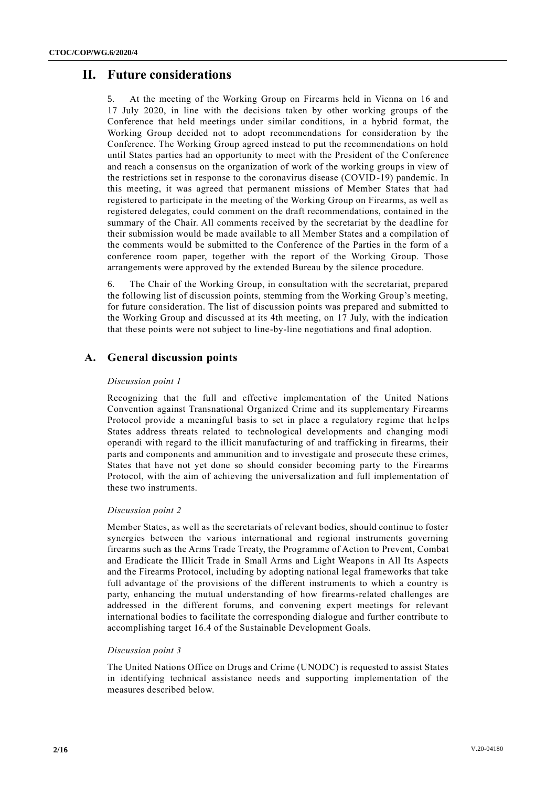# **II. Future considerations**

5. At the meeting of the Working Group on Firearms held in Vienna on 16 and 17 July 2020, in line with the decisions taken by other working groups of the Conference that held meetings under similar conditions, in a hybrid format, the Working Group decided not to adopt recommendations for consideration by the Conference. The Working Group agreed instead to put the recommendations on hold until States parties had an opportunity to meet with the President of the Conference and reach a consensus on the organization of work of the working groups in view of the restrictions set in response to the coronavirus disease (COVID-19) pandemic. In this meeting, it was agreed that permanent missions of Member States that had registered to participate in the meeting of the Working Group on Firearms, as well as registered delegates, could comment on the draft recommendations, contained in the summary of the Chair. All comments received by the secretariat by the deadline for their submission would be made available to all Member States and a compilation of the comments would be submitted to the Conference of the Parties in the form of a conference room paper, together with the report of the Working Group. Those arrangements were approved by the extended Bureau by the silence procedure.

6. The Chair of the Working Group, in consultation with the secretariat, prepared the following list of discussion points, stemming from the Working Group's meeting, for future consideration. The list of discussion points was prepared and submitted to the Working Group and discussed at its 4th meeting, on 17 July, with the indication that these points were not subject to line-by-line negotiations and final adoption.

# **A. General discussion points**

#### *Discussion point 1*

Recognizing that the full and effective implementation of the United Nations Convention against Transnational Organized Crime and its supplementary Firearms Protocol provide a meaningful basis to set in place a regulatory regime that helps States address threats related to technological developments and changing modi operandi with regard to the illicit manufacturing of and trafficking in firearms, their parts and components and ammunition and to investigate and prosecute these crimes, States that have not yet done so should consider becoming party to the Firearms Protocol, with the aim of achieving the universalization and full implementation of these two instruments.

#### *Discussion point 2*

Member States, as well as the secretariats of relevant bodies, should continue to foster synergies between the various international and regional instruments governing firearms such as the Arms Trade Treaty, the Programme of Action to Prevent, Combat and Eradicate the Illicit Trade in Small Arms and Light Weapons in All Its Aspects and the Firearms Protocol, including by adopting national legal frameworks that take full advantage of the provisions of the different instruments to which a country is party, enhancing the mutual understanding of how firearms-related challenges are addressed in the different forums, and convening expert meetings for relevant international bodies to facilitate the corresponding dialogue and further contribute to accomplishing target 16.4 of the Sustainable Development Goals.

#### *Discussion point 3*

The United Nations Office on Drugs and Crime (UNODC) is requested to assist States in identifying technical assistance needs and supporting implementation of the measures described below.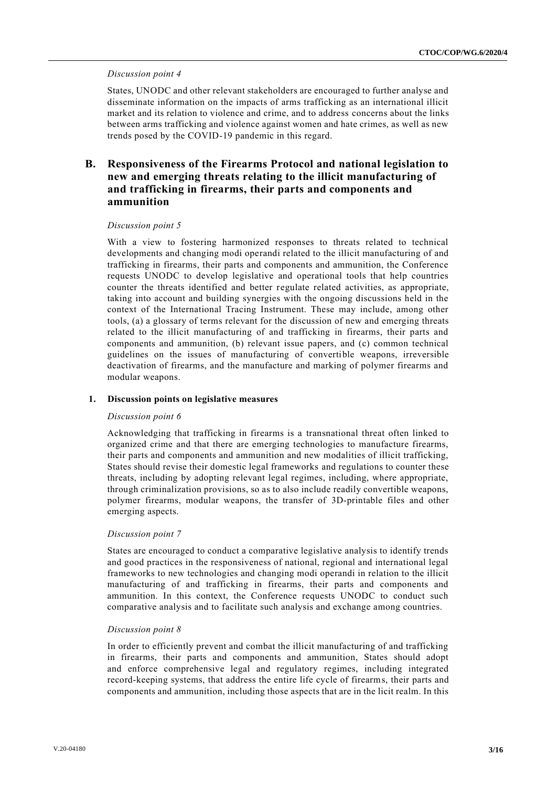#### *Discussion point 4*

States, UNODC and other relevant stakeholders are encouraged to further analyse and disseminate information on the impacts of arms trafficking as an international illicit market and its relation to violence and crime, and to address concerns about the links between arms trafficking and violence against women and hate crimes, as well as new trends posed by the COVID-19 pandemic in this regard.

# **B. Responsiveness of the Firearms Protocol and national legislation to new and emerging threats relating to the illicit manufacturing of and trafficking in firearms, their parts and components and ammunition**

#### *Discussion point 5*

With a view to fostering harmonized responses to threats related to technical developments and changing modi operandi related to the illicit manufacturing of and trafficking in firearms, their parts and components and ammunition, the Conference requests UNODC to develop legislative and operational tools that help countries counter the threats identified and better regulate related activities, as appropriate, taking into account and building synergies with the ongoing discussions held in the context of the International Tracing Instrument. These may include, among other tools, (a) a glossary of terms relevant for the discussion of new and emerging threats related to the illicit manufacturing of and trafficking in firearms, their parts and components and ammunition, (b) relevant issue papers, and (c) common technical guidelines on the issues of manufacturing of convertible weapons, irreversible deactivation of firearms, and the manufacture and marking of polymer firearms and modular weapons.

#### **1. Discussion points on legislative measures**

#### *Discussion point 6*

Acknowledging that trafficking in firearms is a transnational threat often linked to organized crime and that there are emerging technologies to manufacture firearms, their parts and components and ammunition and new modalities of illicit trafficking, States should revise their domestic legal frameworks and regulations to counter these threats, including by adopting relevant legal regimes, including, where appropriate, through criminalization provisions, so as to also include readily convertible weapons, polymer firearms, modular weapons, the transfer of 3D-printable files and other emerging aspects.

#### *Discussion point 7*

States are encouraged to conduct a comparative legislative analysis to identify trends and good practices in the responsiveness of national, regional and international legal frameworks to new technologies and changing modi operandi in relation to the illicit manufacturing of and trafficking in firearms, their parts and components and ammunition. In this context, the Conference requests UNODC to conduct such comparative analysis and to facilitate such analysis and exchange among countries.

#### *Discussion point 8*

In order to efficiently prevent and combat the illicit manufacturing of and trafficking in firearms, their parts and components and ammunition, States should adopt and enforce comprehensive legal and regulatory regimes, including integrated record-keeping systems, that address the entire life cycle of firearms, their parts and components and ammunition, including those aspects that are in the licit realm. In this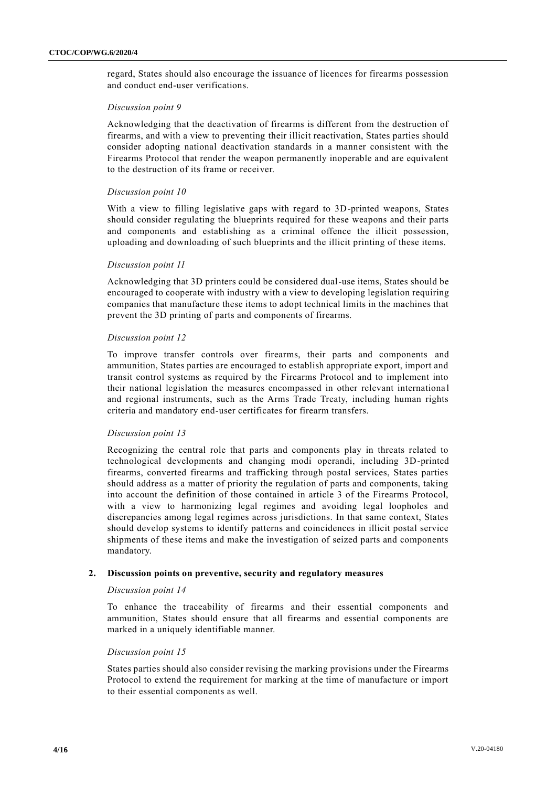regard, States should also encourage the issuance of licences for firearms possession and conduct end-user verifications.

#### *Discussion point 9*

Acknowledging that the deactivation of firearms is different from the destruction of firearms, and with a view to preventing their illicit reactivation, States parties should consider adopting national deactivation standards in a manner consistent with the Firearms Protocol that render the weapon permanently inoperable and are equivalent to the destruction of its frame or receiver.

#### *Discussion point 10*

With a view to filling legislative gaps with regard to 3D-printed weapons, States should consider regulating the blueprints required for these weapons and their parts and components and establishing as a criminal offence the illicit possession, uploading and downloading of such blueprints and the illicit printing of these items.

#### *Discussion point 11*

Acknowledging that 3D printers could be considered dual-use items, States should be encouraged to cooperate with industry with a view to developing legislation requiring companies that manufacture these items to adopt technical limits in the machines that prevent the 3D printing of parts and components of firearms.

#### *Discussion point 12*

To improve transfer controls over firearms, their parts and components and ammunition, States parties are encouraged to establish appropriate export, import and transit control systems as required by the Firearms Protocol and to implement into their national legislation the measures encompassed in other relevant internationa l and regional instruments, such as the Arms Trade Treaty, including human rights criteria and mandatory end-user certificates for firearm transfers.

#### *Discussion point 13*

Recognizing the central role that parts and components play in threats related to technological developments and changing modi operandi, including 3D-printed firearms, converted firearms and trafficking through postal services, States parties should address as a matter of priority the regulation of parts and components, taking into account the definition of those contained in article 3 of the Firearms Protocol, with a view to harmonizing legal regimes and avoiding legal loopholes and discrepancies among legal regimes across jurisdictions. In that same context, States should develop systems to identify patterns and coincidences in illicit postal service shipments of these items and make the investigation of seized parts and components mandatory.

#### **2. Discussion points on preventive, security and regulatory measures**

#### *Discussion point 14*

To enhance the traceability of firearms and their essential components and ammunition, States should ensure that all firearms and essential components are marked in a uniquely identifiable manner.

#### *Discussion point 15*

States parties should also consider revising the marking provisions under the Firearms Protocol to extend the requirement for marking at the time of manufacture or import to their essential components as well.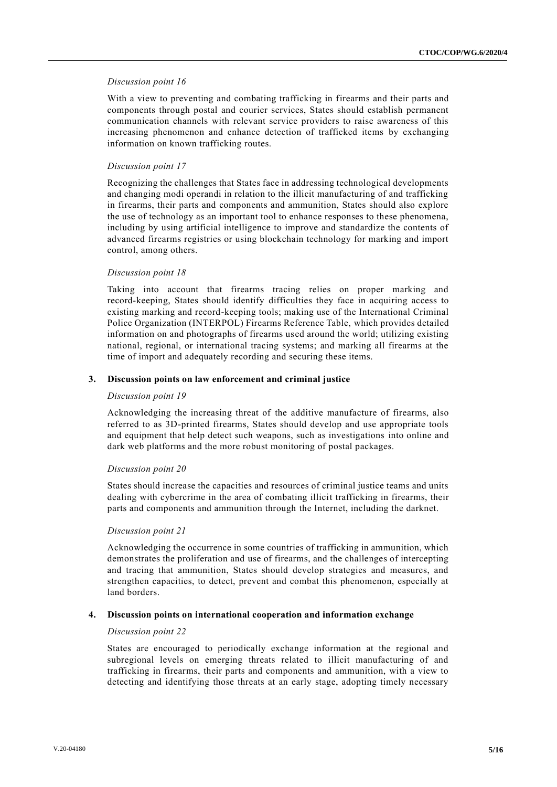#### *Discussion point 16*

With a view to preventing and combating trafficking in firearms and their parts and components through postal and courier services, States should establish permanent communication channels with relevant service providers to raise awareness of this increasing phenomenon and enhance detection of trafficked items by exchanging information on known trafficking routes.

#### *Discussion point 17*

Recognizing the challenges that States face in addressing technological developments and changing modi operandi in relation to the illicit manufacturing of and trafficking in firearms, their parts and components and ammunition, States should also explore the use of technology as an important tool to enhance responses to these phenomena, including by using artificial intelligence to improve and standardize the contents of advanced firearms registries or using blockchain technology for marking and import control, among others.

#### *Discussion point 18*

Taking into account that firearms tracing relies on proper marking and record-keeping, States should identify difficulties they face in acquiring access to existing marking and record-keeping tools; making use of the International Criminal Police Organization (INTERPOL) Firearms Reference Table, which provides detailed information on and photographs of firearms used around the world; utilizing existing national, regional, or international tracing systems; and marking all firearms at the time of import and adequately recording and securing these items.

#### **3. Discussion points on law enforcement and criminal justice**

#### *Discussion point 19*

Acknowledging the increasing threat of the additive manufacture of firearms, also referred to as 3D-printed firearms, States should develop and use appropriate tools and equipment that help detect such weapons, such as investigations into online and dark web platforms and the more robust monitoring of postal packages.

#### *Discussion point 20*

States should increase the capacities and resources of criminal justice teams and units dealing with cybercrime in the area of combating illicit trafficking in firearms, their parts and components and ammunition through the Internet, including the darknet.

#### *Discussion point 21*

Acknowledging the occurrence in some countries of trafficking in ammunition, which demonstrates the proliferation and use of firearms, and the challenges of intercepting and tracing that ammunition, States should develop strategies and measures, and strengthen capacities, to detect, prevent and combat this phenomenon, especially at land borders.

#### **4. Discussion points on international cooperation and information exchange**

#### *Discussion point 22*

States are encouraged to periodically exchange information at the regional and subregional levels on emerging threats related to illicit manufacturing of and trafficking in firearms, their parts and components and ammunition, with a view to detecting and identifying those threats at an early stage, adopting timely necessary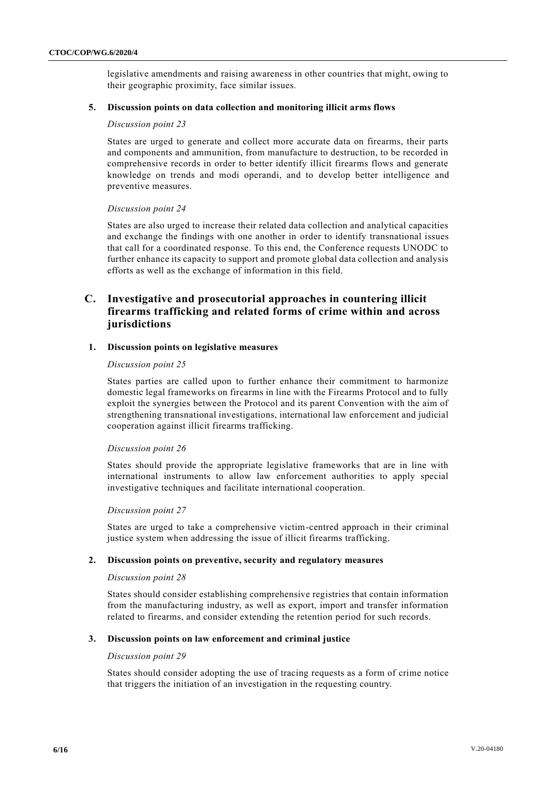legislative amendments and raising awareness in other countries that might, owing to their geographic proximity, face similar issues.

#### **5. Discussion points on data collection and monitoring illicit arms flows**

#### *Discussion point 23*

States are urged to generate and collect more accurate data on firearms, their parts and components and ammunition, from manufacture to destruction, to be recorded in comprehensive records in order to better identify illicit firearms flows and generate knowledge on trends and modi operandi, and to develop better intelligence and preventive measures.

#### *Discussion point 24*

States are also urged to increase their related data collection and analytical capacities and exchange the findings with one another in order to identify transnational issues that call for a coordinated response. To this end, the Conference requests UNODC to further enhance its capacity to support and promote global data collection and analysis efforts as well as the exchange of information in this field.

### **C. Investigative and prosecutorial approaches in countering illicit firearms trafficking and related forms of crime within and across jurisdictions**

#### **1. Discussion points on legislative measures**

#### *Discussion point 25*

States parties are called upon to further enhance their commitment to harmonize domestic legal frameworks on firearms in line with the Firearms Protocol and to fully exploit the synergies between the Protocol and its parent Convention with the aim of strengthening transnational investigations, international law enforcement and judicial cooperation against illicit firearms trafficking.

#### *Discussion point 26*

States should provide the appropriate legislative frameworks that are in line with international instruments to allow law enforcement authorities to apply special investigative techniques and facilitate international cooperation.

#### *Discussion point 27*

States are urged to take a comprehensive victim-centred approach in their criminal justice system when addressing the issue of illicit firearms trafficking.

#### **2. Discussion points on preventive, security and regulatory measures**

#### *Discussion point 28*

States should consider establishing comprehensive registries that contain information from the manufacturing industry, as well as export, import and transfer information related to firearms, and consider extending the retention period for such records.

#### **3. Discussion points on law enforcement and criminal justice**

#### *Discussion point 29*

States should consider adopting the use of tracing requests as a form of crime notice that triggers the initiation of an investigation in the requesting country.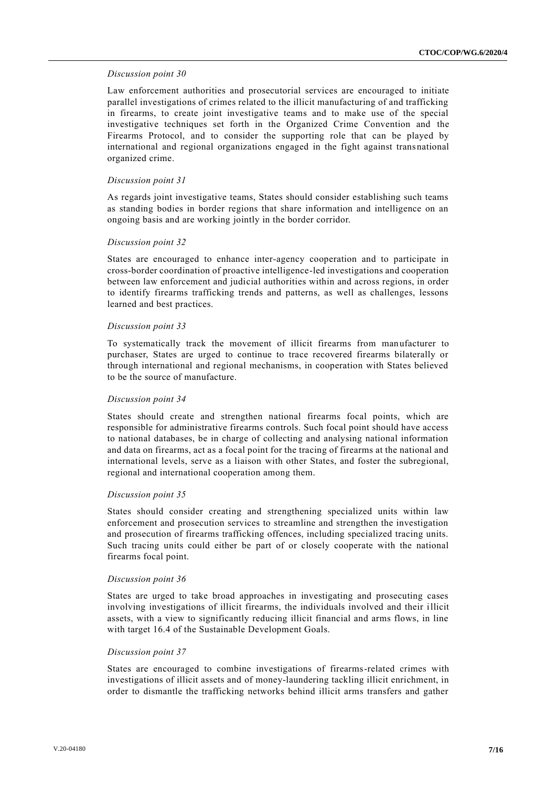#### *Discussion point 30*

Law enforcement authorities and prosecutorial services are encouraged to initiate parallel investigations of crimes related to the illicit manufacturing of and trafficking in firearms, to create joint investigative teams and to make use of the special investigative techniques set forth in the Organized Crime Convention and the Firearms Protocol, and to consider the supporting role that can be played by international and regional organizations engaged in the fight against transnational organized crime.

#### *Discussion point 31*

As regards joint investigative teams, States should consider establishing such teams as standing bodies in border regions that share information and intelligence on an ongoing basis and are working jointly in the border corridor.

#### *Discussion point 32*

States are encouraged to enhance inter-agency cooperation and to participate in cross-border coordination of proactive intelligence-led investigations and cooperation between law enforcement and judicial authorities within and across regions, in order to identify firearms trafficking trends and patterns, as well as challenges, lessons learned and best practices.

#### *Discussion point 33*

To systematically track the movement of illicit firearms from manufacturer to purchaser, States are urged to continue to trace recovered firearms bilaterally or through international and regional mechanisms, in cooperation with States believed to be the source of manufacture.

#### *Discussion point 34*

States should create and strengthen national firearms focal points, which are responsible for administrative firearms controls. Such focal point should have access to national databases, be in charge of collecting and analysing national information and data on firearms, act as a focal point for the tracing of firearms at the national and international levels, serve as a liaison with other States, and foster the subregional, regional and international cooperation among them.

#### *Discussion point 35*

States should consider creating and strengthening specialized units within law enforcement and prosecution services to streamline and strengthen the investigation and prosecution of firearms trafficking offences, including specialized tracing units. Such tracing units could either be part of or closely cooperate with the national firearms focal point.

#### *Discussion point 36*

States are urged to take broad approaches in investigating and prosecuting cases involving investigations of illicit firearms, the individuals involved and their illicit assets, with a view to significantly reducing illicit financial and arms flows, in line with target 16.4 of the Sustainable Development Goals.

#### *Discussion point 37*

States are encouraged to combine investigations of firearms-related crimes with investigations of illicit assets and of money-laundering tackling illicit enrichment, in order to dismantle the trafficking networks behind illicit arms transfers and gather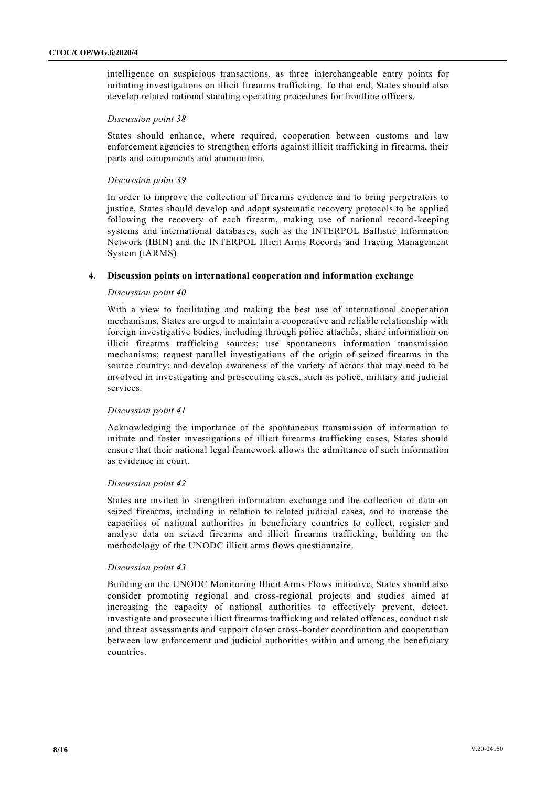intelligence on suspicious transactions, as three interchangeable entry points for initiating investigations on illicit firearms trafficking. To that end, States should also develop related national standing operating procedures for frontline officers.

#### *Discussion point 38*

States should enhance, where required, cooperation between customs and law enforcement agencies to strengthen efforts against illicit trafficking in firearms, their parts and components and ammunition.

#### *Discussion point 39*

In order to improve the collection of firearms evidence and to bring perpetrators to justice, States should develop and adopt systematic recovery protocols to be applied following the recovery of each firearm, making use of national record-keeping systems and international databases, such as the INTERPOL Ballistic Information Network (IBIN) and the INTERPOL Illicit Arms Records and Tracing Management System (iARMS).

#### **4. Discussion points on international cooperation and information exchange**

#### *Discussion point 40*

With a view to facilitating and making the best use of international cooperation mechanisms, States are urged to maintain a cooperative and reliable relationship with foreign investigative bodies, including through police attachés; share information on illicit firearms trafficking sources; use spontaneous information transmission mechanisms; request parallel investigations of the origin of seized firearms in the source country; and develop awareness of the variety of actors that may need to be involved in investigating and prosecuting cases, such as police, military and judicial services.

#### *Discussion point 41*

Acknowledging the importance of the spontaneous transmission of information to initiate and foster investigations of illicit firearms trafficking cases, States should ensure that their national legal framework allows the admittance of such information as evidence in court.

#### *Discussion point 42*

States are invited to strengthen information exchange and the collection of data on seized firearms, including in relation to related judicial cases, and to increase the capacities of national authorities in beneficiary countries to collect, register and analyse data on seized firearms and illicit firearms trafficking, building on the methodology of the UNODC illicit arms flows questionnaire.

#### *Discussion point 43*

Building on the UNODC Monitoring Illicit Arms Flows initiative, States should also consider promoting regional and cross-regional projects and studies aimed at increasing the capacity of national authorities to effectively prevent, detect, investigate and prosecute illicit firearms trafficking and related offences, conduct risk and threat assessments and support closer cross-border coordination and cooperation between law enforcement and judicial authorities within and among the beneficiary countries.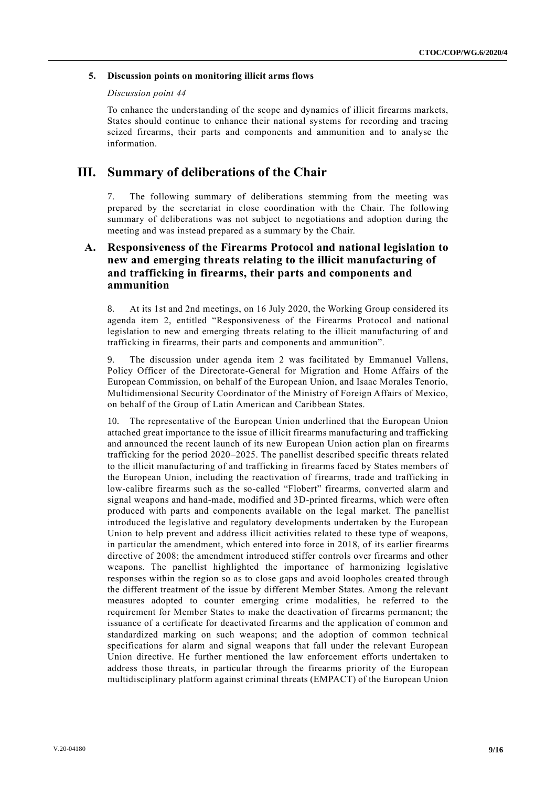#### **5. Discussion points on monitoring illicit arms flows**

#### *Discussion point 44*

To enhance the understanding of the scope and dynamics of illicit firearms markets, States should continue to enhance their national systems for recording and tracing seized firearms, their parts and components and ammunition and to analyse the information.

# **III. Summary of deliberations of the Chair**

7. The following summary of deliberations stemming from the meeting was prepared by the secretariat in close coordination with the Chair. The following summary of deliberations was not subject to negotiations and adoption during the meeting and was instead prepared as a summary by the Chair.

# **A. Responsiveness of the Firearms Protocol and national legislation to new and emerging threats relating to the illicit manufacturing of and trafficking in firearms, their parts and components and ammunition**

8. At its 1st and 2nd meetings, on 16 July 2020, the Working Group considered its agenda item 2, entitled "Responsiveness of the Firearms Protocol and national legislation to new and emerging threats relating to the illicit manufacturing of and trafficking in firearms, their parts and components and ammunition".

9. The discussion under agenda item 2 was facilitated by Emmanuel Vallens, Policy Officer of the Directorate-General for Migration and Home Affairs of the European Commission, on behalf of the European Union, and Isaac Morales Tenorio, Multidimensional Security Coordinator of the Ministry of Foreign Affairs of Mexico, on behalf of the Group of Latin American and Caribbean States.

10. The representative of the European Union underlined that the European Union attached great importance to the issue of illicit firearms manufacturing and trafficking and announced the recent launch of its new European Union action plan on firearms trafficking for the period 2020–2025. The panellist described specific threats related to the illicit manufacturing of and trafficking in firearms faced by States members of the European Union, including the reactivation of firearms, trade and trafficking in low-calibre firearms such as the so-called "Flobert" firearms, converted alarm and signal weapons and hand-made, modified and 3D-printed firearms, which were often produced with parts and components available on the legal market. The panellist introduced the legislative and regulatory developments undertaken by the European Union to help prevent and address illicit activities related to these type of weapons, in particular the amendment, which entered into force in 2018, of its earlier firearms directive of 2008; the amendment introduced stiffer controls over firearms and other weapons. The panellist highlighted the importance of harmonizing legislative responses within the region so as to close gaps and avoid loopholes crea ted through the different treatment of the issue by different Member States. Among the relevant measures adopted to counter emerging crime modalities, he referred to the requirement for Member States to make the deactivation of firearms permanent; the issuance of a certificate for deactivated firearms and the application of common and standardized marking on such weapons; and the adoption of common technical specifications for alarm and signal weapons that fall under the relevant European Union directive. He further mentioned the law enforcement efforts undertaken to address those threats, in particular through the firearms priority of the European multidisciplinary platform against criminal threats (EMPACT) of the European Union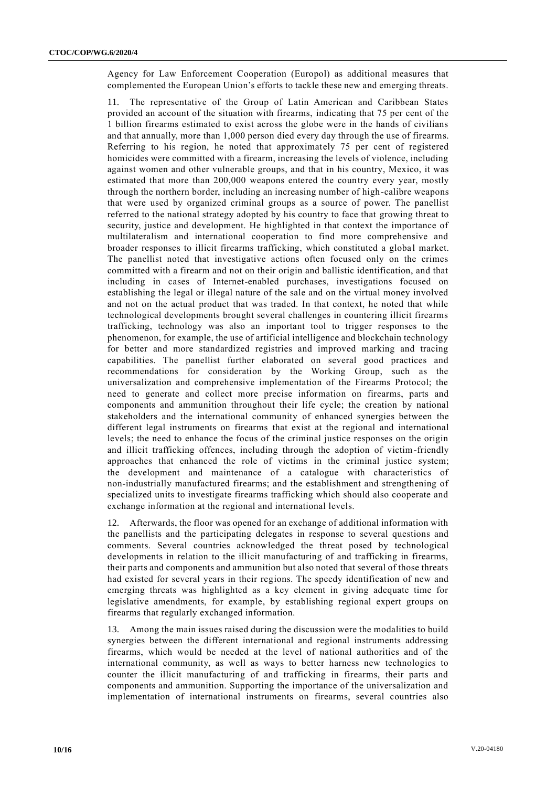Agency for Law Enforcement Cooperation (Europol) as additional measures that complemented the European Union's efforts to tackle these new and emerging threats.

11. The representative of the Group of Latin American and Caribbean States provided an account of the situation with firearms, indicating that 75 per cent of the 1 billion firearms estimated to exist across the globe were in the hands of civilians and that annually, more than 1,000 person died every day through the use of firearms. Referring to his region, he noted that approximately 75 per cent of registered homicides were committed with a firearm, increasing the levels of violence, including against women and other vulnerable groups, and that in his country, Mexico, it was estimated that more than 200,000 weapons entered the country every year, mostly through the northern border, including an increasing number of high-calibre weapons that were used by organized criminal groups as a source of power. The panellist referred to the national strategy adopted by his country to face that growing threat to security, justice and development. He highlighted in that context the importance of multilateralism and international cooperation to find more comprehensive and broader responses to illicit firearms trafficking, which constituted a global market. The panellist noted that investigative actions often focused only on the crimes committed with a firearm and not on their origin and ballistic identification, and that including in cases of Internet-enabled purchases, investigations focused on establishing the legal or illegal nature of the sale and on the virtual money involved and not on the actual product that was traded. In that context, he noted that while technological developments brought several challenges in countering illicit firearms trafficking, technology was also an important tool to trigger responses to the phenomenon, for example, the use of artificial intelligence and blockchain technology for better and more standardized registries and improved marking and tracing capabilities. The panellist further elaborated on several good practices and recommendations for consideration by the Working Group, such as the universalization and comprehensive implementation of the Firearms Protocol; the need to generate and collect more precise information on firearms, parts and components and ammunition throughout their life cycle; the creation by national stakeholders and the international community of enhanced synergies between the different legal instruments on firearms that exist at the regional and international levels; the need to enhance the focus of the criminal justice responses on the origin and illicit trafficking offences, including through the adoption of victim-friendly approaches that enhanced the role of victims in the criminal justice system; the development and maintenance of a catalogue with characteristics of non-industrially manufactured firearms; and the establishment and strengthening of specialized units to investigate firearms trafficking which should also cooperate and exchange information at the regional and international levels.

12. Afterwards, the floor was opened for an exchange of additional information with the panellists and the participating delegates in response to several questions and comments. Several countries acknowledged the threat posed by technological developments in relation to the illicit manufacturing of and trafficking in firearms, their parts and components and ammunition but also noted that several of those threats had existed for several years in their regions. The speedy identification of new and emerging threats was highlighted as a key element in giving adequate time for legislative amendments, for example, by establishing regional expert groups on firearms that regularly exchanged information.

13. Among the main issues raised during the discussion were the modalities to build synergies between the different international and regional instruments addressing firearms, which would be needed at the level of national authorities and of the international community, as well as ways to better harness new technologies to counter the illicit manufacturing of and trafficking in firearms, their parts and components and ammunition. Supporting the importance of the universalization and implementation of international instruments on firearms, several countries also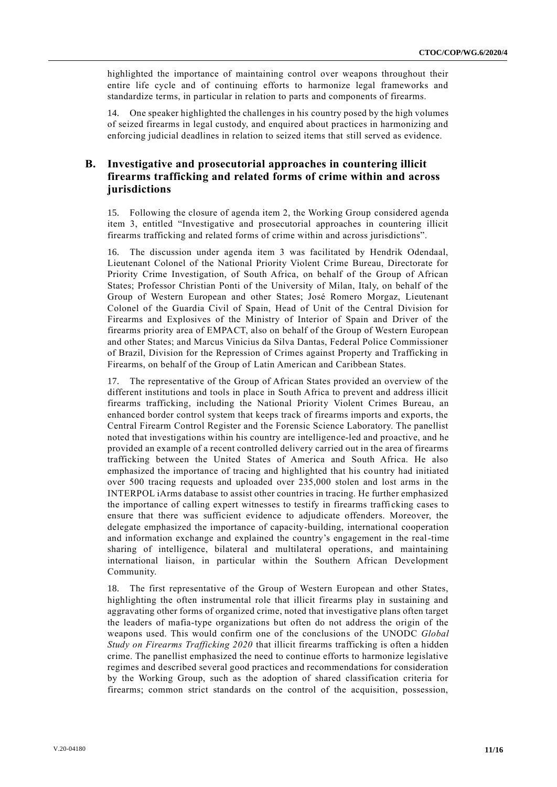highlighted the importance of maintaining control over weapons throughout their entire life cycle and of continuing efforts to harmonize legal frameworks and standardize terms, in particular in relation to parts and components of firearms.

14. One speaker highlighted the challenges in his country posed by the high volumes of seized firearms in legal custody, and enquired about practices in harmonizing and enforcing judicial deadlines in relation to seized items that still served as evidence.

### **B. Investigative and prosecutorial approaches in countering illicit firearms trafficking and related forms of crime within and across jurisdictions**

15. Following the closure of agenda item 2, the Working Group considered agenda item 3, entitled "Investigative and prosecutorial approaches in countering illicit firearms trafficking and related forms of crime within and across jurisdictions".

16. The discussion under agenda item 3 was facilitated by Hendrik Odendaal, Lieutenant Colonel of the National Priority Violent Crime Bureau, Directorate for Priority Crime Investigation, of South Africa, on behalf of the Group of African States; Professor Christian Ponti of the University of Milan, Italy, on behalf of the Group of Western European and other States; José Romero Morgaz, Lieutenant Colonel of the Guardia Civil of Spain, Head of Unit of the Central Division for Firearms and Explosives of the Ministry of Interior of Spain and Driver of the firearms priority area of EMPACT, also on behalf of the Group of Western European and other States; and Marcus Vinicius da Silva Dantas, Federal Police Commissioner of Brazil, Division for the Repression of Crimes against Property and Trafficking in Firearms, on behalf of the Group of Latin American and Caribbean States.

17. The representative of the Group of African States provided an overview of the different institutions and tools in place in South Africa to prevent and address illicit firearms trafficking, including the National Priority Violent Crimes Bureau, an enhanced border control system that keeps track of firearms imports and exports, the Central Firearm Control Register and the Forensic Science Laboratory. The panellist noted that investigations within his country are intelligence-led and proactive, and he provided an example of a recent controlled delivery carried out in the area of firearms trafficking between the United States of America and South Africa. He also emphasized the importance of tracing and highlighted that his country had initiated over 500 tracing requests and uploaded over 235,000 stolen and lost arms in the INTERPOL iArms database to assist other countries in tracing. He further emphasized the importance of calling expert witnesses to testify in firearms traffi cking cases to ensure that there was sufficient evidence to adjudicate offenders. Moreover, the delegate emphasized the importance of capacity-building, international cooperation and information exchange and explained the country's engagement in the real-time sharing of intelligence, bilateral and multilateral operations, and maintaining international liaison, in particular within the Southern African Development Community.

18. The first representative of the Group of Western European and other States, highlighting the often instrumental role that illicit firearms play in sustaining and aggravating other forms of organized crime, noted that investigative plans often target the leaders of mafia-type organizations but often do not address the origin of the weapons used. This would confirm one of the conclusions of the UNODC *Global Study on Firearms Trafficking 2020* that illicit firearms trafficking is often a hidden crime. The panellist emphasized the need to continue efforts to harmonize legislative regimes and described several good practices and recommendations for consideration by the Working Group, such as the adoption of shared classification criteria for firearms; common strict standards on the control of the acquisition, possession,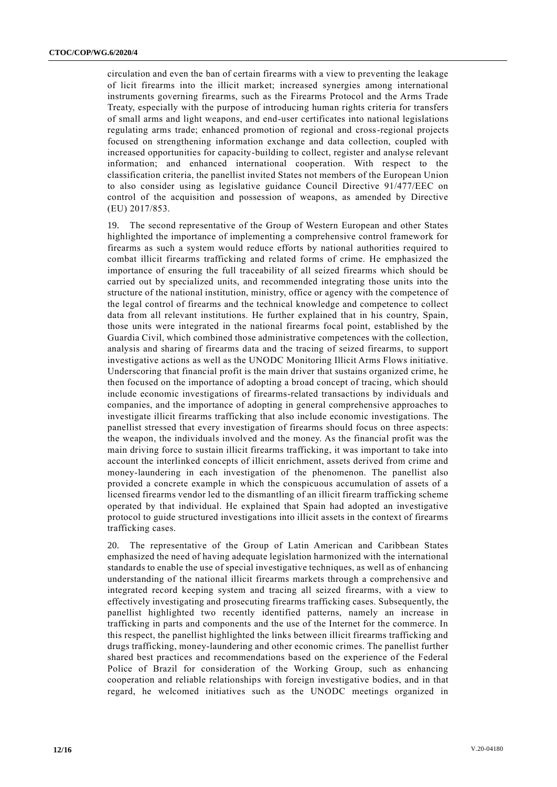circulation and even the ban of certain firearms with a view to preventing the leakage of licit firearms into the illicit market; increased synergies among international instruments governing firearms, such as the Firearms Protocol and the Arms Trade Treaty, especially with the purpose of introducing human rights criteria for transfers of small arms and light weapons, and end-user certificates into national legislations regulating arms trade; enhanced promotion of regional and cross-regional projects focused on strengthening information exchange and data collection, coupled with increased opportunities for capacity-building to collect, register and analyse relevant information; and enhanced international cooperation. With respect to the classification criteria, the panellist invited States not members of the European Union to also consider using as legislative guidance Council Directive 91/477/EEC on control of the acquisition and possession of weapons, as amended by Directive (EU) 2017/853.

19. The second representative of the Group of Western European and other States highlighted the importance of implementing a comprehensive control framework for firearms as such a system would reduce efforts by national authorities required to combat illicit firearms trafficking and related forms of crime. He emphasized the importance of ensuring the full traceability of all seized firearms which should be carried out by specialized units, and recommended integrating those units into the structure of the national institution, ministry, office or agency with the competence of the legal control of firearms and the technical knowledge and competence to collect data from all relevant institutions. He further explained that in his country, Spain, those units were integrated in the national firearms focal point, established by the Guardia Civil, which combined those administrative competences with the collection, analysis and sharing of firearms data and the tracing of seized firearms, to support investigative actions as well as the UNODC Monitoring Illicit Arms Flows initiative. Underscoring that financial profit is the main driver that sustains organized crime, he then focused on the importance of adopting a broad concept of tracing, which should include economic investigations of firearms-related transactions by individuals and companies, and the importance of adopting in general comprehensive approaches to investigate illicit firearms trafficking that also include economic investigations. The panellist stressed that every investigation of firearms should focus on three aspects: the weapon, the individuals involved and the money. As the financial profit was the main driving force to sustain illicit firearms trafficking, it was important to take into account the interlinked concepts of illicit enrichment, assets derived from crime and money-laundering in each investigation of the phenomenon. The panellist also provided a concrete example in which the conspicuous accumulation of assets of a licensed firearms vendor led to the dismantling of an illicit firearm trafficking scheme operated by that individual. He explained that Spain had adopted an investigative protocol to guide structured investigations into illicit assets in the context of firearms trafficking cases.

The representative of the Group of Latin American and Caribbean States emphasized the need of having adequate legislation harmonized with the international standards to enable the use of special investigative techniques, as well as of enhancing understanding of the national illicit firearms markets through a comprehensive and integrated record keeping system and tracing all seized firearms, with a view to effectively investigating and prosecuting firearms trafficking cases. Subsequently, the panellist highlighted two recently identified patterns, namely an increase in trafficking in parts and components and the use of the Internet for the commerce. In this respect, the panellist highlighted the links between illicit firearms trafficking and drugs trafficking, money-laundering and other economic crimes. The panellist further shared best practices and recommendations based on the experience of the Federal Police of Brazil for consideration of the Working Group, such as enhancing cooperation and reliable relationships with foreign investigative bodies, and in that regard, he welcomed initiatives such as the UNODC meetings organized in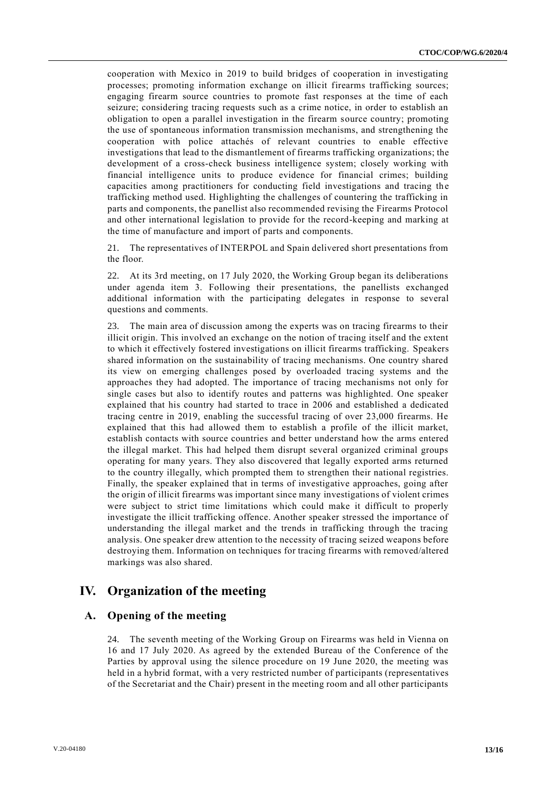cooperation with Mexico in 2019 to build bridges of cooperation in investigating processes; promoting information exchange on illicit firearms trafficking sources; engaging firearm source countries to promote fast responses at the time of each seizure; considering tracing requests such as a crime notice, in order to establish an obligation to open a parallel investigation in the firearm source country; promoting the use of spontaneous information transmission mechanisms, and strengthening the cooperation with police attachés of relevant countries to enable effective investigations that lead to the dismantlement of firearms trafficking organizations; the development of a cross-check business intelligence system; closely working with financial intelligence units to produce evidence for financial crimes; building capacities among practitioners for conducting field investigations and tracing th e trafficking method used. Highlighting the challenges of countering the trafficking in parts and components, the panellist also recommended revising the Firearms Protocol and other international legislation to provide for the record-keeping and marking at the time of manufacture and import of parts and components.

21. The representatives of INTERPOL and Spain delivered short presentations from the floor.

22. At its 3rd meeting, on 17 July 2020, the Working Group began its deliberations under agenda item 3. Following their presentations, the panellists exchanged additional information with the participating delegates in response to several questions and comments.

23. The main area of discussion among the experts was on tracing firearms to their illicit origin. This involved an exchange on the notion of tracing itself and the extent to which it effectively fostered investigations on illicit firearms trafficking. Speakers shared information on the sustainability of tracing mechanisms. One country shared its view on emerging challenges posed by overloaded tracing systems and the approaches they had adopted. The importance of tracing mechanisms not only for single cases but also to identify routes and patterns was highlighted. One speaker explained that his country had started to trace in 2006 and established a dedicated tracing centre in 2019, enabling the successful tracing of over 23,000 firearms. He explained that this had allowed them to establish a profile of the illicit market, establish contacts with source countries and better understand how the arms entered the illegal market. This had helped them disrupt several organized criminal groups operating for many years. They also discovered that legally exported arms returned to the country illegally, which prompted them to strengthen their national registries. Finally, the speaker explained that in terms of investigative approaches, going after the origin of illicit firearms was important since many investigations of violent crimes were subject to strict time limitations which could make it difficult to properly investigate the illicit trafficking offence. Another speaker stressed the importance of understanding the illegal market and the trends in trafficking through the tracing analysis. One speaker drew attention to the necessity of tracing seized weapons before destroying them. Information on techniques for tracing firearms with removed/altered markings was also shared.

## **IV. Organization of the meeting**

#### **A. Opening of the meeting**

24. The seventh meeting of the Working Group on Firearms was held in Vienna on 16 and 17 July 2020. As agreed by the extended Bureau of the Conference of the Parties by approval using the silence procedure on 19 June 2020, the meeting was held in a hybrid format, with a very restricted number of participants (representatives of the Secretariat and the Chair) present in the meeting room and all other participants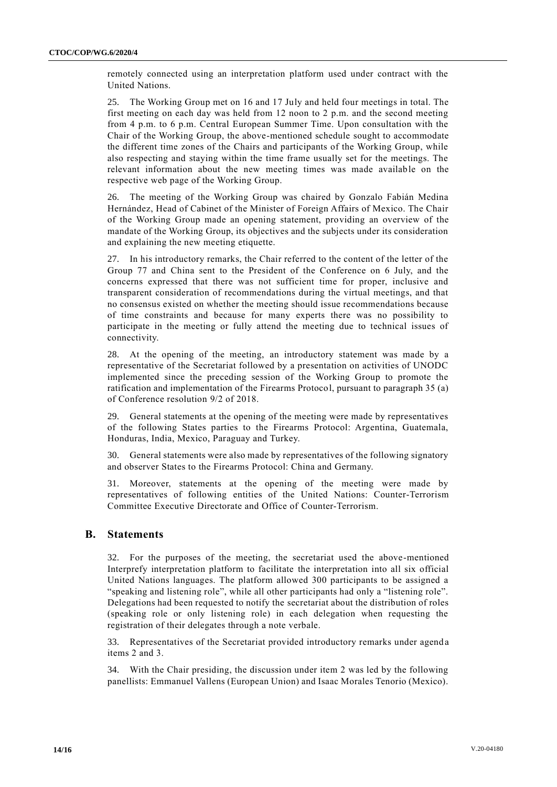remotely connected using an interpretation platform used under contract with the United Nations.

25. The Working Group met on 16 and 17 July and held four meetings in total. The first meeting on each day was held from 12 noon to 2 p.m. and the second meeting from 4 p.m. to 6 p.m. Central European Summer Time. Upon consultation with the Chair of the Working Group, the above-mentioned schedule sought to accommodate the different time zones of the Chairs and participants of the Working Group, while also respecting and staying within the time frame usually set for the meetings. The relevant information about the new meeting times was made available on the respective web page of the Working Group.

26. The meeting of the Working Group was chaired by Gonzalo Fabián Medina Hernández, Head of Cabinet of the Minister of Foreign Affairs of Mexico. The Chair of the Working Group made an opening statement, providing an overview of the mandate of the Working Group, its objectives and the subjects under its consideration and explaining the new meeting etiquette.

27. In his introductory remarks, the Chair referred to the content of the letter of the Group 77 and China sent to the President of the Conference on 6 July, and the concerns expressed that there was not sufficient time for proper, inclusive and transparent consideration of recommendations during the virtual meetings, and that no consensus existed on whether the meeting should issue recommendations because of time constraints and because for many experts there was no possibility to participate in the meeting or fully attend the meeting due to technical issues of connectivity.

28. At the opening of the meeting, an introductory statement was made by a representative of the Secretariat followed by a presentation on activities of UNODC implemented since the preceding session of the Working Group to promote the ratification and implementation of the Firearms Protocol, pursuant to paragraph 35 (a) of Conference resolution 9/2 of 2018.

29. General statements at the opening of the meeting were made by representatives of the following States parties to the Firearms Protocol: Argentina, Guatemala, Honduras, India, Mexico, Paraguay and Turkey.

30. General statements were also made by representatives of the following signatory and observer States to the Firearms Protocol: China and Germany.

31. Moreover, statements at the opening of the meeting were made by representatives of following entities of the United Nations: Counter-Terrorism Committee Executive Directorate and Office of Counter-Terrorism.

### **B. Statements**

32. For the purposes of the meeting, the secretariat used the above-mentioned Interprefy interpretation platform to facilitate the interpretation into all six official United Nations languages. The platform allowed 300 participants to be assigned a "speaking and listening role", while all other participants had only a "listening role". Delegations had been requested to notify the secretariat about the distribution of roles (speaking role or only listening role) in each delegation when requesting the registration of their delegates through a note verbale.

33. Representatives of the Secretariat provided introductory remarks under agend a items 2 and 3.

34. With the Chair presiding, the discussion under item 2 was led by the following panellists: Emmanuel Vallens (European Union) and Isaac Morales Tenorio (Mexico).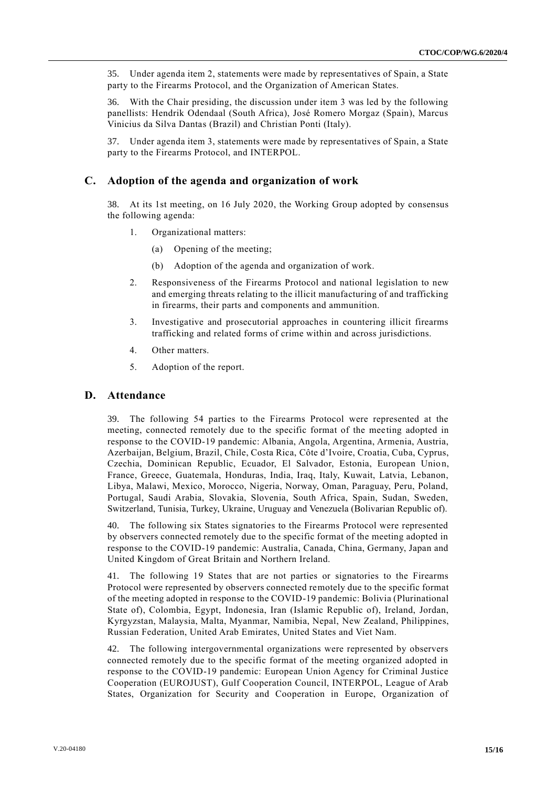35. Under agenda item 2, statements were made by representatives of Spain, a State party to the Firearms Protocol, and the Organization of American States.

36. With the Chair presiding, the discussion under item 3 was led by the following panellists: Hendrik Odendaal (South Africa), José Romero Morgaz (Spain), Marcus Vinicius da Silva Dantas (Brazil) and Christian Ponti (Italy).

37. Under agenda item 3, statements were made by representatives of Spain, a State party to the Firearms Protocol, and INTERPOL.

### **C. Adoption of the agenda and organization of work**

38. At its 1st meeting, on 16 July 2020, the Working Group adopted by consensus the following agenda:

- 1. Organizational matters:
	- (a) Opening of the meeting;
	- (b) Adoption of the agenda and organization of work.
- 2. Responsiveness of the Firearms Protocol and national legislation to new and emerging threats relating to the illicit manufacturing of and trafficking in firearms, their parts and components and ammunition.
- 3. Investigative and prosecutorial approaches in countering illicit firearms trafficking and related forms of crime within and across jurisdictions.
- 4. Other matters.
- 5. Adoption of the report.

#### **D. Attendance**

39. The following 54 parties to the Firearms Protocol were represented at the meeting, connected remotely due to the specific format of the meeting adopted in response to the COVID-19 pandemic: Albania, Angola, Argentina, Armenia, Austria, Azerbaijan, Belgium, Brazil, Chile, Costa Rica, Côte d'Ivoire, Croatia, Cuba, Cyprus, Czechia, Dominican Republic, Ecuador, El Salvador, Estonia, European Union, France, Greece, Guatemala, Honduras, India, Iraq, Italy, Kuwait, Latvia, Lebanon, Libya, Malawi, Mexico, Morocco, Nigeria, Norway, Oman, Paraguay, Peru, Poland, Portugal, Saudi Arabia, Slovakia, Slovenia, South Africa, Spain, Sudan, Sweden, Switzerland, Tunisia, Turkey, Ukraine, Uruguay and Venezuela (Bolivarian Republic of).

40. The following six States signatories to the Firearms Protocol were represented by observers connected remotely due to the specific format of the meeting adopted in response to the COVID-19 pandemic: Australia, Canada, China, Germany, Japan and United Kingdom of Great Britain and Northern Ireland.

41. The following 19 States that are not parties or signatories to the Firearms Protocol were represented by observers connected remotely due to the specific format of the meeting adopted in response to the COVID-19 pandemic: Bolivia (Plurinational State of), Colombia, Egypt, Indonesia, Iran (Islamic Republic of), Ireland, Jordan, Kyrgyzstan, Malaysia, Malta, Myanmar, Namibia, Nepal, New Zealand, Philippines, Russian Federation, United Arab Emirates, United States and Viet Nam.

42. The following intergovernmental organizations were represented by observers connected remotely due to the specific format of the meeting organized adopted in response to the COVID-19 pandemic: European Union Agency for Criminal Justice Cooperation (EUROJUST), Gulf Cooperation Council, INTERPOL, League of Arab States, Organization for Security and Cooperation in Europe, Organization of